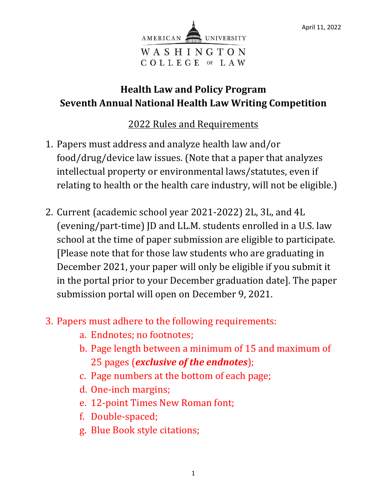

## **Health Law and Policy Program Seventh Annual National Health Law Writing Competition**

## 2022 Rules and Requirements

- 1. Papers must address and analyze health law and/or food/drug/device law issues. (Note that a paper that analyzes intellectual property or environmental laws/statutes, even if relating to health or the health care industry, will not be eligible.)
- 2. Current (academic school year 2021-2022) 2L, 3L, and 4L (evening/part-time) JD and LL.M. students enrolled in a U.S. law school at the time of paper submission are eligible to participate. [Please note that for those law students who are graduating in December 2021, your paper will only be eligible if you submit it in the portal prior to your December graduation date]. The paper submission portal will open on December 9, 2021.
- 3. Papers must adhere to the following requirements:
	- a. Endnotes; no footnotes;
	- b. Page length between a minimum of 15 and maximum of 25 pages (*exclusive of the endnotes*);
	- c. Page numbers at the bottom of each page;
	- d. One-inch margins;
	- e. 12-point Times New Roman font;
	- f. Double-spaced;
	- g. Blue Book style citations;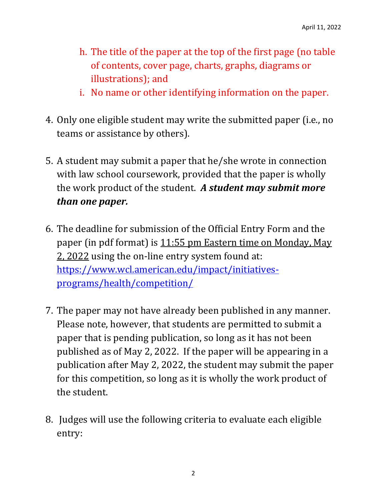- h. The title of the paper at the top of the first page (no table of contents, cover page, charts, graphs, diagrams or illustrations); and
- i. No name or other identifying information on the paper.
- 4. Only one eligible student may write the submitted paper (i.e., no teams or assistance by others).
- 5. A student may submit a paper that he/she wrote in connection with law school coursework, provided that the paper is wholly the work product of the student. *A student may submit more than one paper.*
- 6. The deadline for submission of the Official Entry Form and the paper (in pdf format) is 11:55 pm Eastern time on Monday, May 2, 2022 using the on-line entry system found at: [https://www.wcl.american.edu/impact/initiatives](https://www.wcl.american.edu/impact/initiatives-programs/health/competition/)[programs/health/competition/](https://www.wcl.american.edu/impact/initiatives-programs/health/competition/)
- 7. The paper may not have already been published in any manner. Please note, however, that students are permitted to submit a paper that is pending publication, so long as it has not been published as of May 2, 2022. If the paper will be appearing in a publication after May 2, 2022, the student may submit the paper for this competition, so long as it is wholly the work product of the student.
- 8. Judges will use the following criteria to evaluate each eligible entry: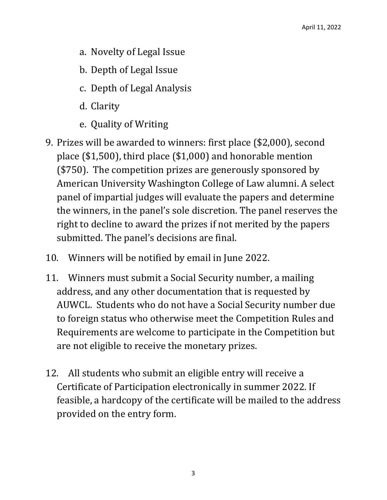- a. Novelty of Legal Issue
- b. Depth of Legal Issue
- c. Depth of Legal Analysis
- d. Clarity
- e. Quality of Writing
- 9. Prizes will be awarded to winners: first place (\$2,000), second place (\$1,500), third place (\$1,000) and honorable mention (\$750). The competition prizes are generously sponsored by American University Washington College of Law alumni. A select panel of impartial judges will evaluate the papers and determine the winners, in the panel's sole discretion. The panel reserves the right to decline to award the prizes if not merited by the papers submitted. The panel's decisions are final.
- 10. Winners will be notified by email in June 2022.
- 11. Winners must submit a Social Security number, a mailing address, and any other documentation that is requested by AUWCL. Students who do not have a Social Security number due to foreign status who otherwise meet the Competition Rules and Requirements are welcome to participate in the Competition but are not eligible to receive the monetary prizes.
- 12. All students who submit an eligible entry will receive a Certificate of Participation electronically in summer 2022. If feasible, a hardcopy of the certificate will be mailed to the address provided on the entry form.